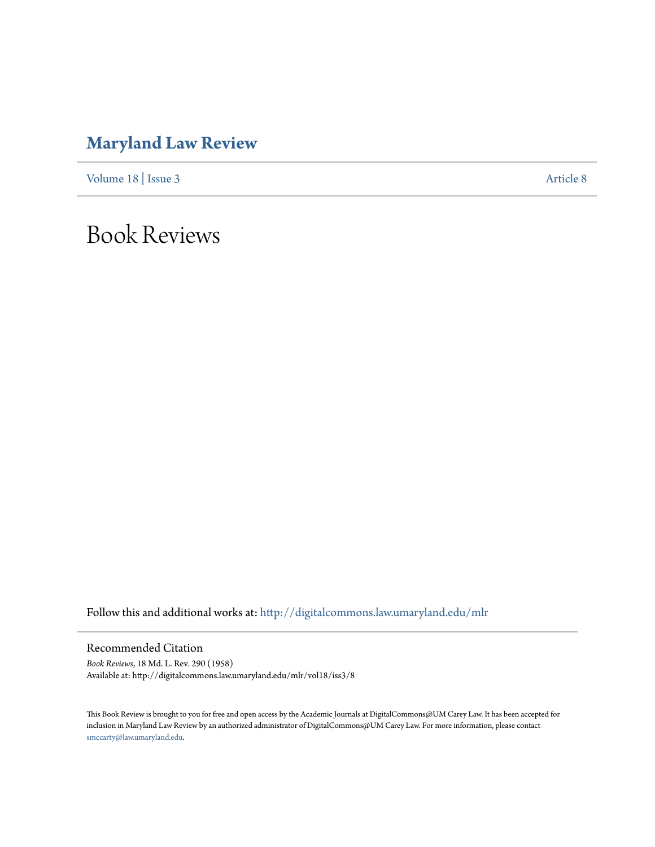## **[Maryland Law Review](http://digitalcommons.law.umaryland.edu/mlr?utm_source=digitalcommons.law.umaryland.edu%2Fmlr%2Fvol18%2Fiss3%2F8&utm_medium=PDF&utm_campaign=PDFCoverPages)**

[Volume 18](http://digitalcommons.law.umaryland.edu/mlr/vol18?utm_source=digitalcommons.law.umaryland.edu%2Fmlr%2Fvol18%2Fiss3%2F8&utm_medium=PDF&utm_campaign=PDFCoverPages) | [Issue 3](http://digitalcommons.law.umaryland.edu/mlr/vol18/iss3?utm_source=digitalcommons.law.umaryland.edu%2Fmlr%2Fvol18%2Fiss3%2F8&utm_medium=PDF&utm_campaign=PDFCoverPages) [Article 8](http://digitalcommons.law.umaryland.edu/mlr/vol18/iss3/8?utm_source=digitalcommons.law.umaryland.edu%2Fmlr%2Fvol18%2Fiss3%2F8&utm_medium=PDF&utm_campaign=PDFCoverPages)

Book Reviews

Follow this and additional works at: [http://digitalcommons.law.umaryland.edu/mlr](http://digitalcommons.law.umaryland.edu/mlr?utm_source=digitalcommons.law.umaryland.edu%2Fmlr%2Fvol18%2Fiss3%2F8&utm_medium=PDF&utm_campaign=PDFCoverPages)

Recommended Citation

*Book Reviews*, 18 Md. L. Rev. 290 (1958) Available at: http://digitalcommons.law.umaryland.edu/mlr/vol18/iss3/8

This Book Review is brought to you for free and open access by the Academic Journals at DigitalCommons@UM Carey Law. It has been accepted for inclusion in Maryland Law Review by an authorized administrator of DigitalCommons@UM Carey Law. For more information, please contact [smccarty@law.umaryland.edu.](mailto:smccarty@law.umaryland.edu)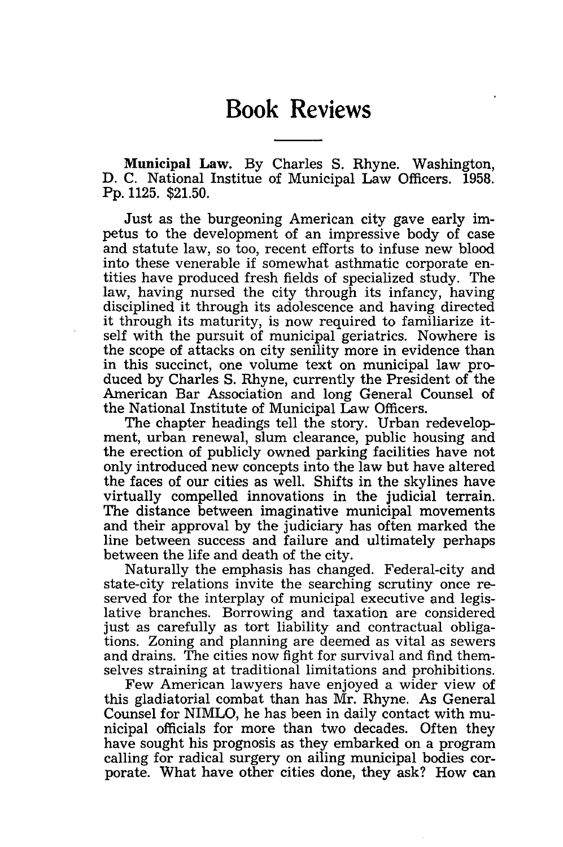## **Book Reviews**

Municipal Law. By Charles S. Rhyne. Washington, D. C. National Institue of Municipal Law Officers. 1958. Pp. 1125. \$21.50.

Just as the burgeoning American city gave early impetus to the development of an impressive body of case and statute law, so too, recent efforts to infuse new blood into these venerable if somewhat asthmatic corporate entities have produced fresh fields of specialized study. The law, having nursed the city through its infancy, having disciplined it through its adolescence and having directed it through its maturity, is now required to familiarize itself with the pursuit of municipal geriatrics. Nowhere is the scope of attacks on city senility more in evidence than in this succinct, one volume text on municipal law produced by Charles S. Rhyne, currently the President of the American Bar Association and long General Counsel of the National Institute of Municipal Law Officers.

The chapter headings tell the story. Urban redevelopment, urban renewal, slum clearance, public housing and the erection of publicly owned parking facilities have not only introduced new concepts into the law but have altered the faces of our cities as well. Shifts in the skylines have virtually compelled innovations in the judicial terrain. The distance between imaginative municipal movements and their approval by the judiciary has often marked the line between success and failure and ultimately perhaps between the life and death of the city.

Naturally the emphasis has changed. Federal-city and state-city relations invite the searching scrutiny once reserved for the interplay of municipal executive and legislative branches. Borrowing and taxation are considered just as carefully as tort liability and contractual obligations. Zoning and planning are deemed as vital as sewers and drains. The cities now fight for survival and find themselves straining at traditional limitations and prohibitions.

Few American lawyers have enjoyed a wider view of this gladiatorial combat than has Mr. Rhyne. As General Counsel for NIMLO, he has been in daily contact with municipal officials for more than two decades. Often they have sought his prognosis as they embarked on a program calling for radical surgery on ailing municipal bodies corporate. What have other cities done, they ask? How can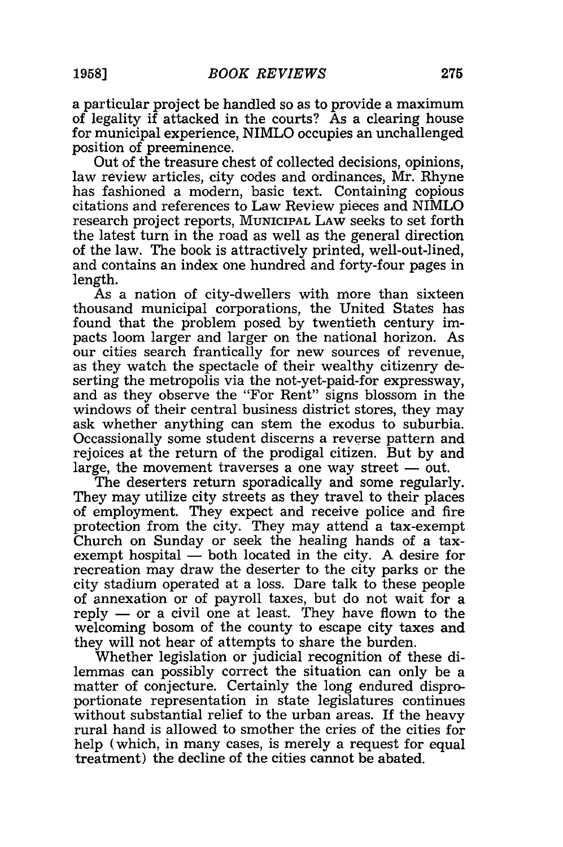a particular project be handled so as to provide a maximum of legality if attacked in the courts? As a clearing house for municipal experience, NIMLO occupies an unchallenged position of preeminence.

Out of the treasure chest of collected decisions, opinions, law review articles, city codes and ordinances, Mr. Rhyne has fashioned a modern, basic text. Containing copious citations and references to Law Review pieces and NIMLO research project reports, MUNICIPAL LAW seeks to set forth the latest turn in the road as well as the general direction of the law. The book is attractively printed, well-out-lined, and contains an index one hundred and forty-four pages in length.

As a nation of city-dwellers with more than sixteen thousand municipal corporations, the United States has found that the problem posed by twentieth century impacts loom larger and larger on the national horizon. As our cities search frantically for new sources of revenue, as they watch the spectacle of their wealthy citizenry deserting the metropolis via the not-yet-paid-for expressway, and as they observe the "For Rent" signs blossom in the windows of their central business district stores, they may ask whether anything can stem the exodus to suburbia. Occassionally some student discerns a reverse pattern and rejoices at the return of the prodigal citizen. But by and large, the movement traverses a one way street  $-$  out.

The deserters return sporadically and some regularly. They may utilize city streets as they travel to their places of employment. They expect and receive police and fire protection from the city. They may attend a tax-exempt Church on Sunday or seek the healing hands of a taxexempt hospital  $-$  both located in the city. A desire for recreation may draw the deserter to the city parks or the city stadium operated at a loss. Dare talk to these people of annexation or of payroll taxes, but do not wait for a reply  $-$  or a civil one at least. They have flown to the welcoming bosom of the county to escape city taxes and they will not hear of attempts to share the burden.

Whether legislation or judicial recognition of these dilemmas can possibly correct the situation can only be a matter of conjecture. Certainly the long endured disproportionate representation in state legislatures continues without substantial relief to the urban areas. If the heavy rural hand is allowed to smother the cries of the cities for help (which, in many cases, is merely a request for equal treatment) the decline of the cities cannot be abated.